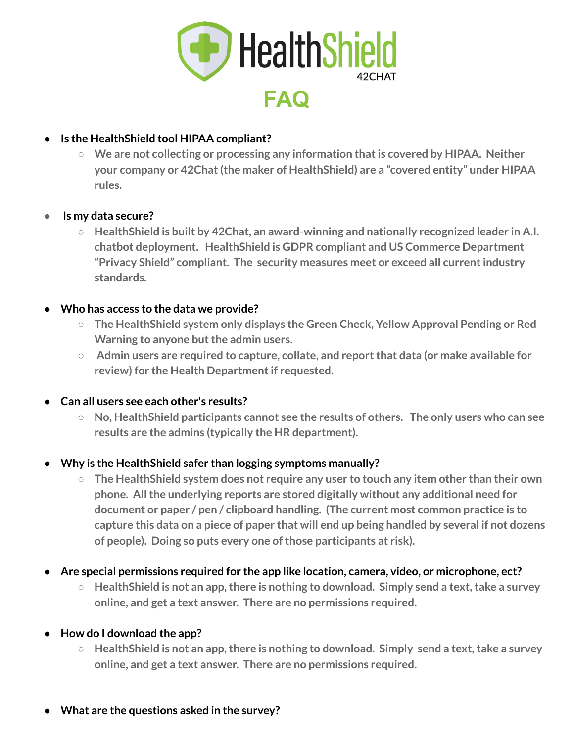

# **● Is the HealthShield tool HIPAA compliant?**

**○ We are not collecting or processing any information thatis covered by HIPAA. Neither your company or 42Chat(the maker of HealthShield) are a "covered entity" under HIPAA rules.**

## **● Is my data secure?**

**○ HealthShield is built by 42Chat, an award-winning and nationally recognized leader in A.I. chatbot deployment. HealthShield is GDPR compliant and US Commerce Department "Privacy Shield" compliant. The security measures meet or exceed all currentindustry standards.**

## **● Who has access to the data we provide?**

- **○ The HealthShield system only displays the Green Check, Yellow Approval Pending or Red Warning to anyone but the admin users.**
- **○ Admin users are required to capture, collate, and reportthat data (or make available for review) for the Health Departmentif requested.**

### **● Can all users see each other's results?**

**○ No, HealthShield participants cannot see the results of others. The only users who can see results are the admins (typically the HR department).**

## **● Why is the HealthShield safer than logging symptoms manually?**

- **○ The HealthShield system does not require any user to touch any item other than their own phone. Allthe underlying reports are stored digitally without any additional need for document or paper / pen / clipboard handling. (The current most common practice is to** capture this data on a piece of paper that will end up being handled by several if not dozens **of people). Doing so puts every one ofthose participants at risk).**
- **● Are special permissions required for the app like location, camera, video, or microphone, ect?**
	- **○ HealthShield is not an app,there is nothing to download. Simply send a text,take a survey online, and get a text answer. There are no permissions required.**

### **● How do I download the app?**

**○ HealthShield is not an app,there is nothing to download. Simply send a text,take a survey online, and get a text answer. There are no permissions required.**

### **● What are the questions asked in the survey?**